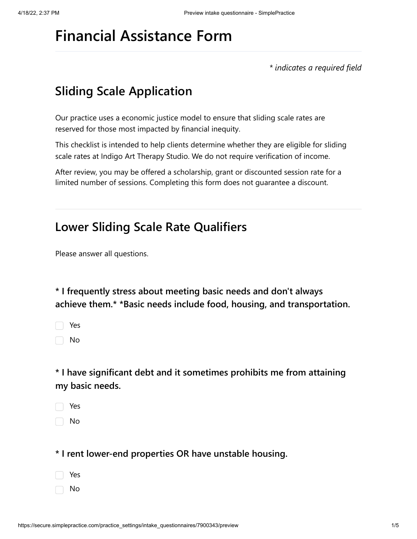# **Financial Assistance Form**

*\* indicates a required field*

## **Sliding Scale Application**

Our practice uses a economic justice model to ensure that sliding scale rates are reserved for those most impacted by financial inequity.

This checklist is intended to help clients determine whether they are eligible for sliding scale rates at Indigo Art Therapy Studio. We do not require verification of income.

After review, you may be offered a scholarship, grant or discounted session rate for a limited number of sessions. Completing this form does not guarantee a discount.

#### **Lower Sliding Scale Rate Qualifiers**

Please answer all questions.

**\* I frequently stress about meeting basic needs and don't always achieve them.\* \*Basic needs include food, housing, and transportation.**

| ٧ |
|---|
|   |

No

**\* I have significant debt and it sometimes prohibits me from attaining my basic needs.**

Yes

No

**\* I rent lower-end properties OR have unstable housing.**

- Yes
- No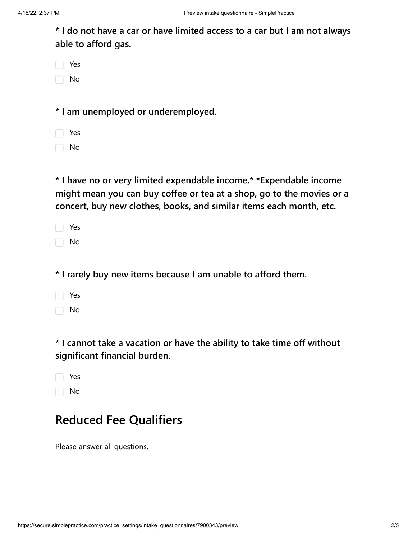**\* I do not have a car or have limited access to a car but I am not always able to afford gas.**

| Yes |
|-----|
| No  |

**\* I am unemployed or underemployed.**

 $\Box$  No

**\* I have no or very limited expendable income.\* \*Expendable income might mean you can buy coffee or tea at a shop, go to the movies or a concert, buy new clothes, books, and similar items each month, etc.**

|  | Yes |
|--|-----|
|  | No  |

**\* I rarely buy new items because I am unable to afford them.**

Yes n No

**\* I cannot take a vacation or have the ability to take time off without significant financial burden.**

| Yes |
|-----|
| No  |

### **Reduced Fee Qualifiers**

Please answer all questions.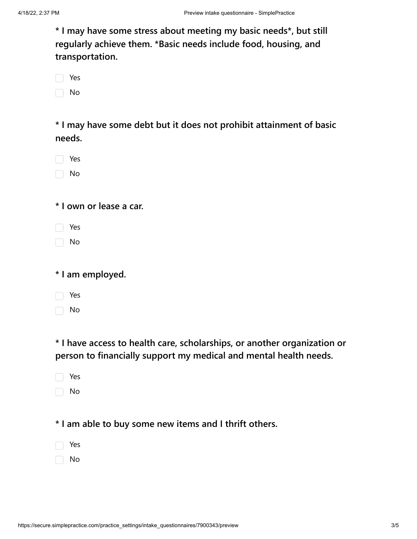**\* I may have some stress about meeting my basic needs\*, but still regularly achieve them. \*Basic needs include food, housing, and transportation.**

| Yes |
|-----|
| No  |

**\* I may have some debt but it does not prohibit attainment of basic needs.**

| Yes |
|-----|
| No  |

**\* I own or lease a car.**

□ No

□ No

**\* I have access to health care, scholarships, or another organization or person to financially support my medical and mental health needs.**

| Yes |
|-----|
|     |

 $\Box$  No

#### **\* I am able to buy some new items and I thrift others.**

No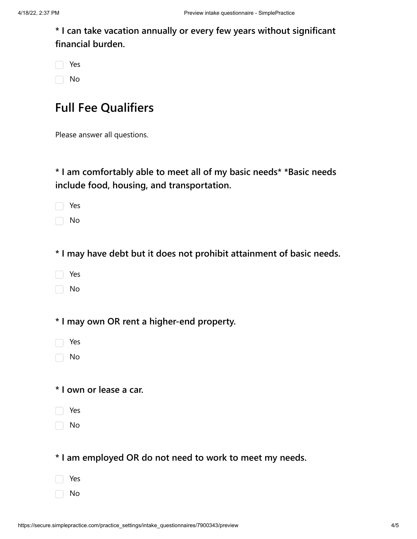**\* I can take vacation annually or every few years without significant financial burden.**

| Yes |
|-----|
| No  |

#### **Full Fee Qualifiers**

Please answer all questions.

**\* I am comfortably able to meet all of my basic needs\* \*Basic needs include food, housing, and transportation.**

Yes

No

**\* I may have debt but it does not prohibit attainment of basic needs.**

- Yes
- No

**\* I may own OR rent a higher-end property.**

- Yes
- No

#### **\* I own or lease a car.**

- Yes
- $\Box$  No

**\* I am employed OR do not need to work to meet my needs.**

- Yes
- No